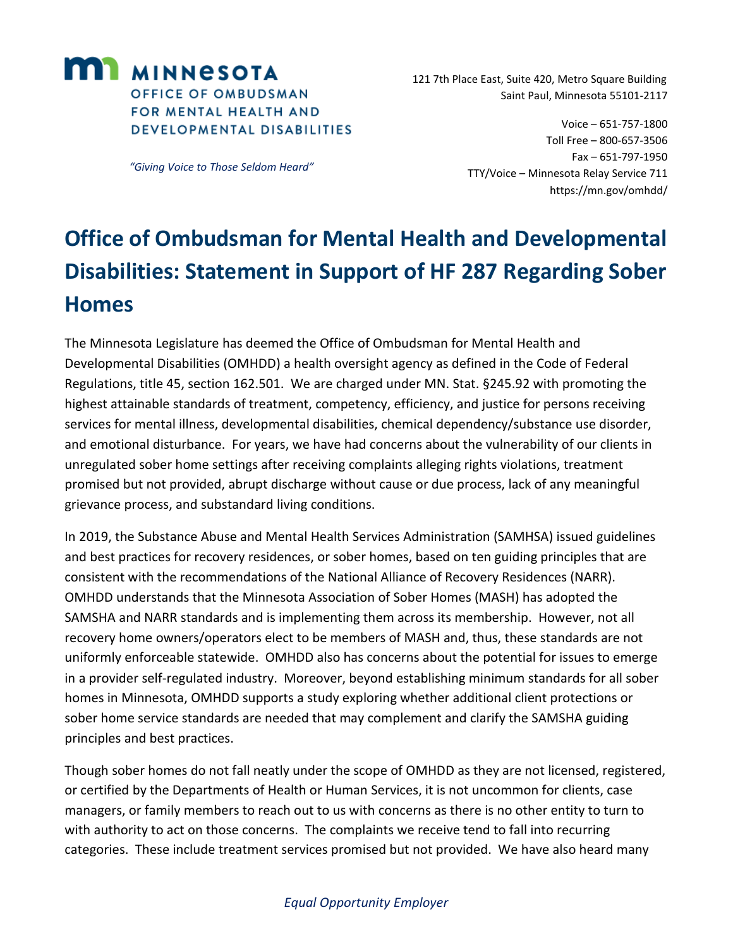

*"Giving Voice to Those Seldom Heard"*

 121 7th Place East, Suite 420, Metro Square Building Saint Paul, Minnesota 55101-2117

> Voice – 651-757-1800 Toll Free – 800-657-3506 Fax – 651-797-1950 TTY/Voice – Minnesota Relay Service 711 <https://mn.gov/omhdd/>

## **Office of Ombudsman for Mental Health and Developmental Disabilities: Statement in Support of HF 287 Regarding Sober Homes**

The Minnesota Legislature has deemed the Office of Ombudsman for Mental Health and Developmental Disabilities (OMHDD) a health oversight agency as defined in the Code of Federal Regulations, title 45, section 162.501. We are charged under MN. Stat. §245.92 with promoting the highest attainable standards of treatment, competency, efficiency, and justice for persons receiving services for mental illness, developmental disabilities, chemical dependency/substance use disorder, and emotional disturbance. For years, we have had concerns about the vulnerability of our clients in unregulated sober home settings after receiving complaints alleging rights violations, treatment promised but not provided, abrupt discharge without cause or due process, lack of any meaningful grievance process, and substandard living conditions.

In 2019, the Substance Abuse and Mental Health Services Administration (SAMHSA) issued guidelines and best practices for recovery residences, or sober homes, based on ten guiding principles that are consistent with the recommendations of the National Alliance of Recovery Residences (NARR). OMHDD understands that the Minnesota Association of Sober Homes (MASH) has adopted the SAMSHA and NARR standards and is implementing them across its membership. However, not all recovery home owners/operators elect to be members of MASH and, thus, these standards are not uniformly enforceable statewide. OMHDD also has concerns about the potential for issues to emerge in a provider self-regulated industry. Moreover, beyond establishing minimum standards for all sober homes in Minnesota, OMHDD supports a study exploring whether additional client protections or sober home service standards are needed that may complement and clarify the SAMSHA guiding principles and best practices.

Though sober homes do not fall neatly under the scope of OMHDD as they are not licensed, registered, or certified by the Departments of Health or Human Services, it is not uncommon for clients, case managers, or family members to reach out to us with concerns as there is no other entity to turn to with authority to act on those concerns. The complaints we receive tend to fall into recurring categories. These include treatment services promised but not provided. We have also heard many

## *Equal Opportunity Employer*